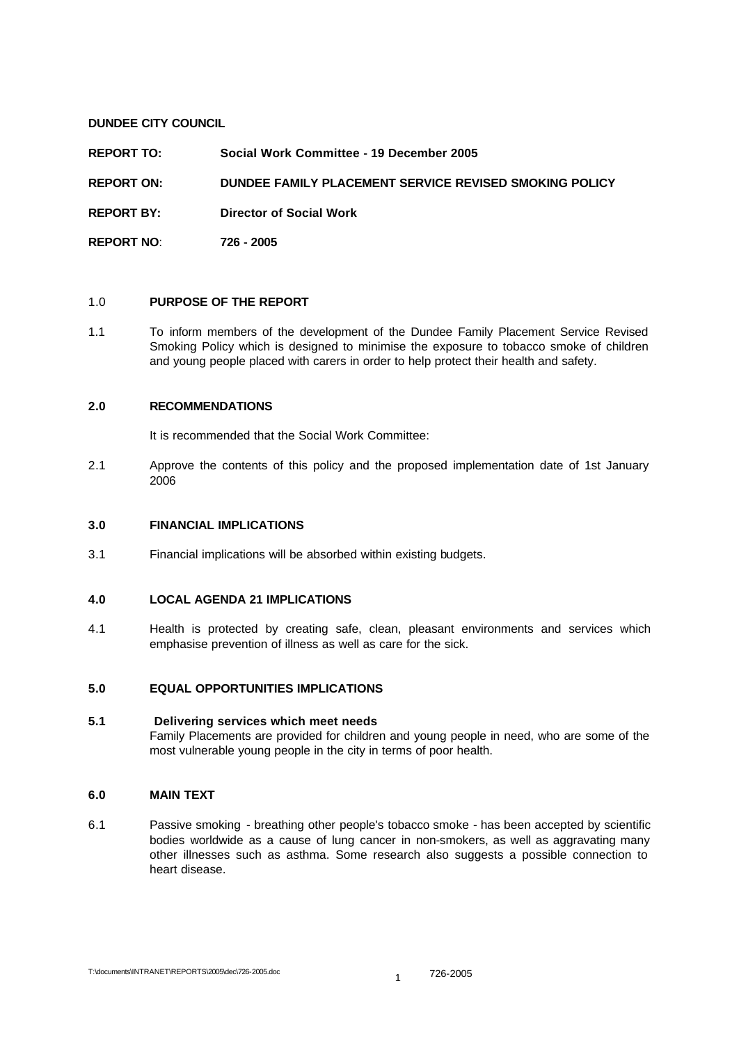**DUNDEE CITY COUNCIL**

**REPORT TO: Social Work Committee - 19 December 2005**

**REPORT ON: DUNDEE FAMILY PLACEMENT SERVICE REVISED SMOKING POLICY**

**REPORT BY: Director of Social Work**

**REPORT NO**: **726 - 2005**

#### 1.0 **PURPOSE OF THE REPORT**

1.1 To inform members of the development of the Dundee Family Placement Service Revised Smoking Policy which is designed to minimise the exposure to tobacco smoke of children and young people placed with carers in order to help protect their health and safety.

### **2.0 RECOMMENDATIONS**

It is recommended that the Social Work Committee:

2.1 Approve the contents of this policy and the proposed implementation date of 1st January 2006

### **3.0 FINANCIAL IMPLICATIONS**

3.1 Financial implications will be absorbed within existing budgets.

#### **4.0 LOCAL AGENDA 21 IMPLICATIONS**

4.1 Health is protected by creating safe, clean, pleasant environments and services which emphasise prevention of illness as well as care for the sick.

#### **5.0 EQUAL OPPORTUNITIES IMPLICATIONS**

## **5.1 Delivering services which meet needs**

Family Placements are provided for children and young people in need, who are some of the most vulnerable young people in the city in terms of poor health.

#### **6.0 MAIN TEXT**

6.1 Passive smoking - breathing other people's tobacco smoke - has been accepted by scientific bodies worldwide as a cause of lung cancer in non-smokers, as well as aggravating many other illnesses such as asthma. Some research also suggests a possible connection to heart disease.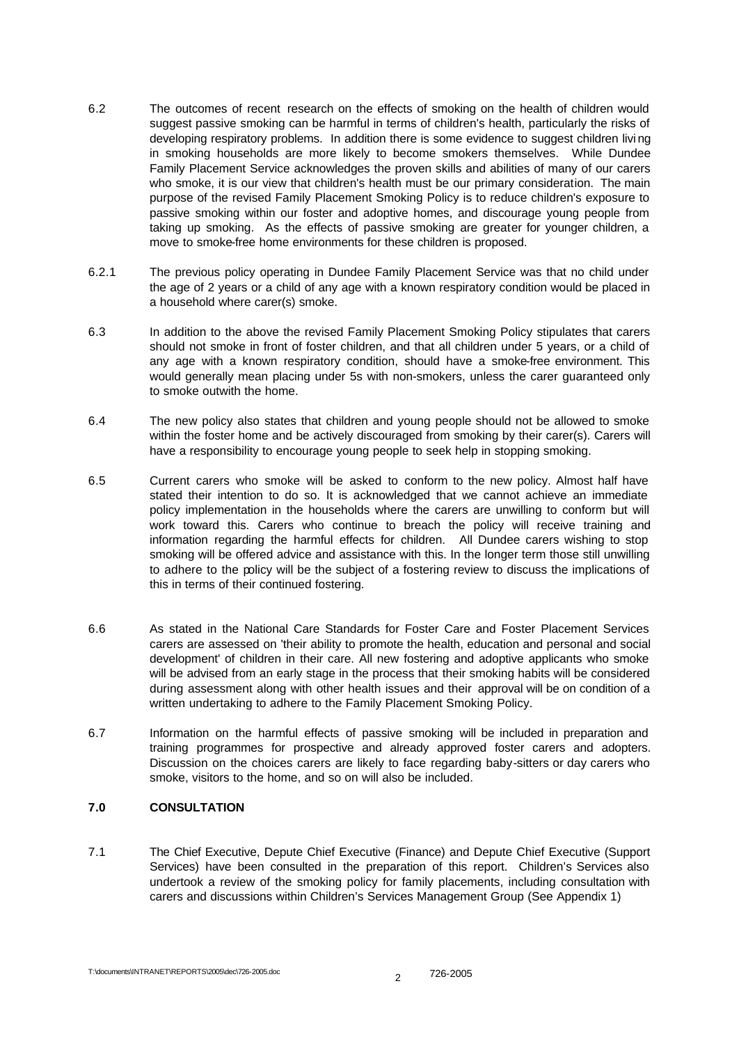- 6.2 The outcomes of recent research on the effects of smoking on the health of children would suggest passive smoking can be harmful in terms of children's health, particularly the risks of developing respiratory problems. In addition there is some evidence to suggest children livi ng in smoking households are more likely to become smokers themselves. While Dundee Family Placement Service acknowledges the proven skills and abilities of many of our carers who smoke, it is our view that children's health must be our primary consideration. The main purpose of the revised Family Placement Smoking Policy is to reduce children's exposure to passive smoking within our foster and adoptive homes, and discourage young people from taking up smoking. As the effects of passive smoking are greater for younger children, a move to smoke-free home environments for these children is proposed.
- 6.2.1 The previous policy operating in Dundee Family Placement Service was that no child under the age of 2 years or a child of any age with a known respiratory condition would be placed in a household where carer(s) smoke.
- 6.3 In addition to the above the revised Family Placement Smoking Policy stipulates that carers should not smoke in front of foster children, and that all children under 5 years, or a child of any age with a known respiratory condition, should have a smoke-free environment. This would generally mean placing under 5s with non-smokers, unless the carer guaranteed only to smoke outwith the home.
- 6.4 The new policy also states that children and young people should not be allowed to smoke within the foster home and be actively discouraged from smoking by their carer(s). Carers will have a responsibility to encourage young people to seek help in stopping smoking.
- 6.5 Current carers who smoke will be asked to conform to the new policy. Almost half have stated their intention to do so. It is acknowledged that we cannot achieve an immediate policy implementation in the households where the carers are unwilling to conform but will work toward this. Carers who continue to breach the policy will receive training and information regarding the harmful effects for children. All Dundee carers wishing to stop smoking will be offered advice and assistance with this. In the longer term those still unwilling to adhere to the policy will be the subject of a fostering review to discuss the implications of this in terms of their continued fostering.
- 6.6 As stated in the National Care Standards for Foster Care and Foster Placement Services carers are assessed on 'their ability to promote the health, education and personal and social development' of children in their care. All new fostering and adoptive applicants who smoke will be advised from an early stage in the process that their smoking habits will be considered during assessment along with other health issues and their approval will be on condition of a written undertaking to adhere to the Family Placement Smoking Policy.
- 6.7 Information on the harmful effects of passive smoking will be included in preparation and training programmes for prospective and already approved foster carers and adopters. Discussion on the choices carers are likely to face regarding baby-sitters or day carers who smoke, visitors to the home, and so on will also be included.

## **7.0 CONSULTATION**

7.1 The Chief Executive, Depute Chief Executive (Finance) and Depute Chief Executive (Support Services) have been consulted in the preparation of this report. Children's Services also undertook a review of the smoking policy for family placements, including consultation with carers and discussions within Children's Services Management Group (See Appendix 1)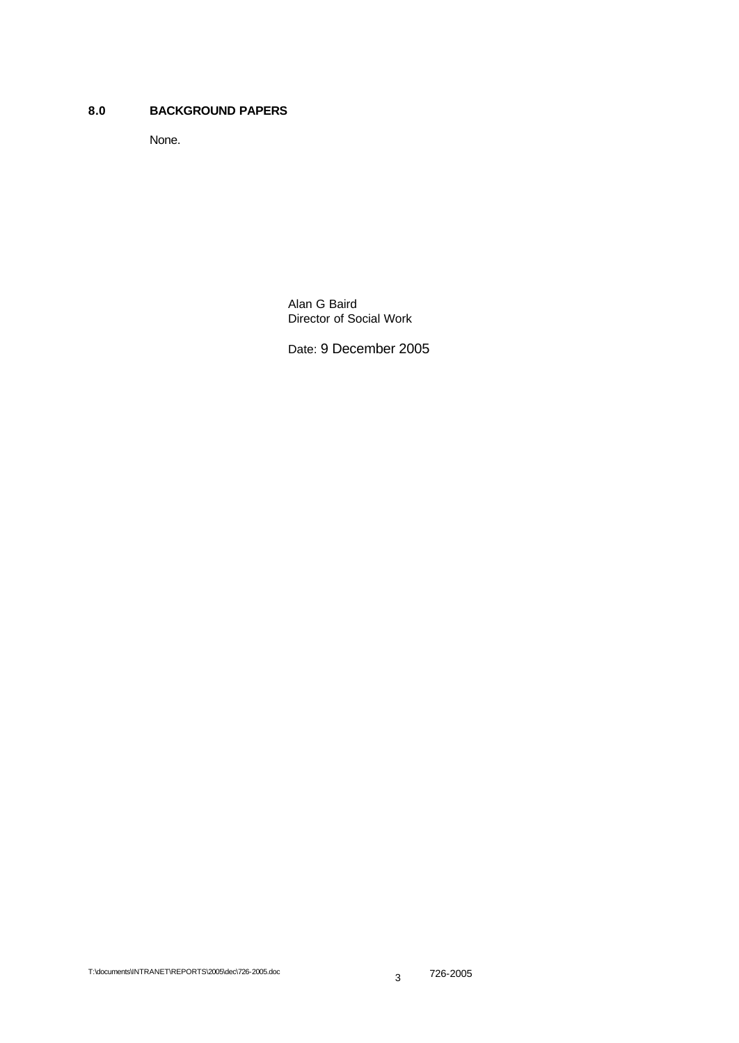# **8.0 BACKGROUND PAPERS**

None.

Alan G Baird Director of Social Work

Date: 9 December 2005